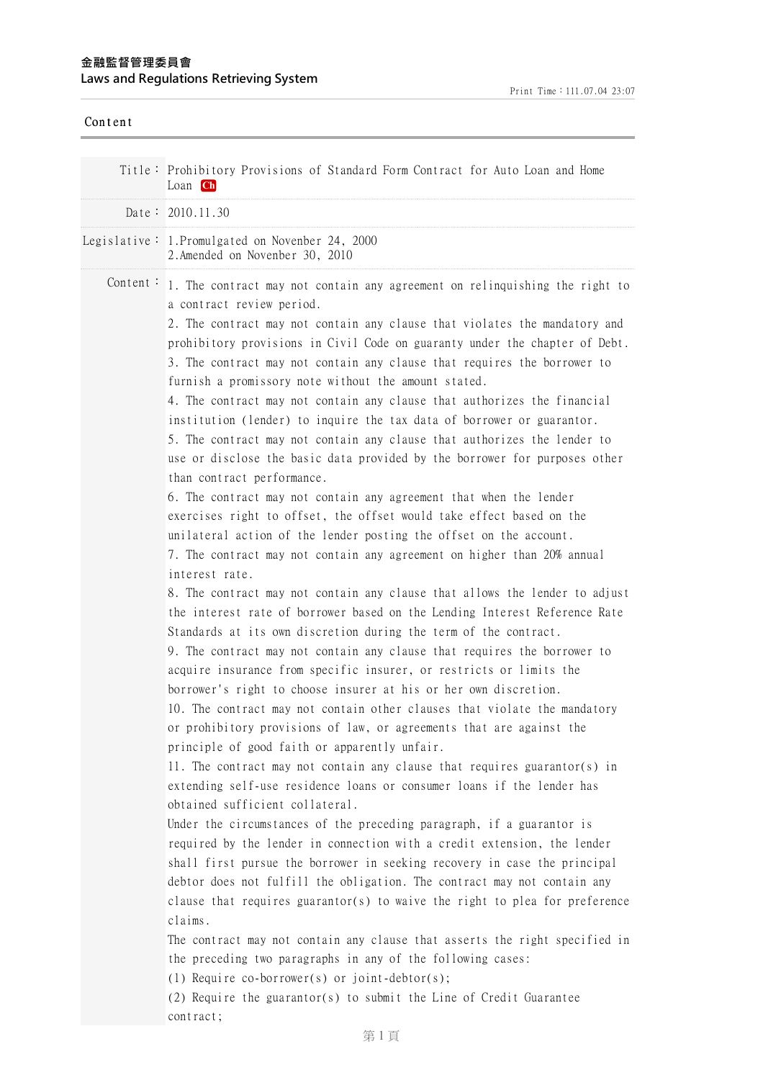| Content  |                                                                                                                                                                                                                                                                                                                                                                                                                                                                                                                                                                                                                                                                                                                                                                                                                                                                                                                                                                                                                                                                                                                                                                                                                                                                                                                                                                                                                                                                                                                                                                                                                                                                                                                                                                                                                                                                                                                                                                                                                                                                                                                                                                                                                                                                                                                                                                                                                                                                                                                                                                                                                              |
|----------|------------------------------------------------------------------------------------------------------------------------------------------------------------------------------------------------------------------------------------------------------------------------------------------------------------------------------------------------------------------------------------------------------------------------------------------------------------------------------------------------------------------------------------------------------------------------------------------------------------------------------------------------------------------------------------------------------------------------------------------------------------------------------------------------------------------------------------------------------------------------------------------------------------------------------------------------------------------------------------------------------------------------------------------------------------------------------------------------------------------------------------------------------------------------------------------------------------------------------------------------------------------------------------------------------------------------------------------------------------------------------------------------------------------------------------------------------------------------------------------------------------------------------------------------------------------------------------------------------------------------------------------------------------------------------------------------------------------------------------------------------------------------------------------------------------------------------------------------------------------------------------------------------------------------------------------------------------------------------------------------------------------------------------------------------------------------------------------------------------------------------------------------------------------------------------------------------------------------------------------------------------------------------------------------------------------------------------------------------------------------------------------------------------------------------------------------------------------------------------------------------------------------------------------------------------------------------------------------------------------------------|
|          | Title: Prohibitory Provisions of Standard Form Contract for Auto Loan and Home<br>Loan Ch                                                                                                                                                                                                                                                                                                                                                                                                                                                                                                                                                                                                                                                                                                                                                                                                                                                                                                                                                                                                                                                                                                                                                                                                                                                                                                                                                                                                                                                                                                                                                                                                                                                                                                                                                                                                                                                                                                                                                                                                                                                                                                                                                                                                                                                                                                                                                                                                                                                                                                                                    |
|          | Date: 2010.11.30                                                                                                                                                                                                                                                                                                                                                                                                                                                                                                                                                                                                                                                                                                                                                                                                                                                                                                                                                                                                                                                                                                                                                                                                                                                                                                                                                                                                                                                                                                                                                                                                                                                                                                                                                                                                                                                                                                                                                                                                                                                                                                                                                                                                                                                                                                                                                                                                                                                                                                                                                                                                             |
|          | Legislative: 1. Promulgated on Novenber 24, 2000<br>2. Amended on Novenber 30, 2010                                                                                                                                                                                                                                                                                                                                                                                                                                                                                                                                                                                                                                                                                                                                                                                                                                                                                                                                                                                                                                                                                                                                                                                                                                                                                                                                                                                                                                                                                                                                                                                                                                                                                                                                                                                                                                                                                                                                                                                                                                                                                                                                                                                                                                                                                                                                                                                                                                                                                                                                          |
| Content: | 1. The contract may not contain any agreement on relinquishing the right to<br>a contract review period.<br>2. The contract may not contain any clause that violates the mandatory and<br>prohibitory provisions in Civil Code on guaranty under the chapter of Debt.<br>3. The contract may not contain any clause that requires the borrower to<br>furnish a promissory note without the amount stated.<br>4. The contract may not contain any clause that authorizes the financial<br>institution (lender) to inquire the tax data of borrower or guarantor.<br>5. The contract may not contain any clause that authorizes the lender to<br>use or disclose the basic data provided by the borrower for purposes other<br>than contract performance.<br>6. The contract may not contain any agreement that when the lender<br>exercises right to offset, the offset would take effect based on the<br>unilateral action of the lender posting the offset on the account.<br>7. The contract may not contain any agreement on higher than 20% annual<br>interest rate.<br>8. The contract may not contain any clause that allows the lender to adjust<br>the interest rate of borrower based on the Lending Interest Reference Rate<br>Standards at its own discretion during the term of the contract.<br>9. The contract may not contain any clause that requires the borrower to<br>acquire insurance from specific insurer, or restricts or limits the<br>borrower's right to choose insurer at his or her own discretion.<br>10. The contract may not contain other clauses that violate the mandatory<br>or prohibitory provisions of law, or agreements that are against the<br>principle of good faith or apparently unfair.<br>11. The contract may not contain any clause that requires guarantor(s) in<br>extending self-use residence loans or consumer loans if the lender has<br>obtained sufficient collateral.<br>Under the circumstances of the preceding paragraph, if a guarantor is<br>required by the lender in connection with a credit extension, the lender<br>shall first pursue the borrower in seeking recovery in case the principal<br>debtor does not fulfill the obligation. The contract may not contain any<br>clause that requires guarantor(s) to waive the right to plea for preference<br>claims.<br>The contract may not contain any clause that asserts the right specified in<br>the preceding two paragraphs in any of the following cases:<br>(1) Require co-borrower(s) or joint-debtor(s);<br>(2) Require the guarantor(s) to submit the Line of Credit Guarantee<br>contract; |